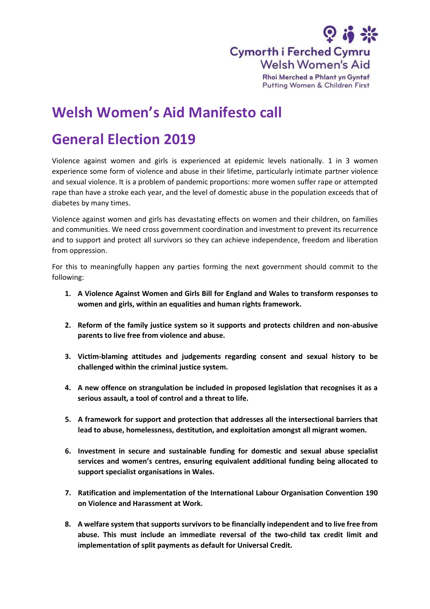

# **Welsh Women's Aid Manifesto call**

# **General Election 2019**

Violence against women and girls is experienced at epidemic levels nationally. 1 in 3 women experience some form of violence and abuse in their lifetime, particularly intimate partner violence and sexual violence. It is a problem of pandemic proportions: more women suffer rape or attempted rape than have a stroke each year, and the level of domestic abuse in the population exceeds that of diabetes by many times.

Violence against women and girls has devastating effects on women and their children, on families and communities. We need cross government coordination and investment to prevent its recurrence and to support and protect all survivors so they can achieve independence, freedom and liberation from oppression.

For this to meaningfully happen any parties forming the next government should commit to the following:

- **1. A Violence Against Women and Girls Bill for England and Wales to transform responses to women and girls, within an equalities and human rights framework.**
- **2. Reform of the family justice system so it supports and protects children and non-abusive parents to live free from violence and abuse.**
- **3. Victim-blaming attitudes and judgements regarding consent and sexual history to be challenged within the criminal justice system.**
- **4. A new offence on strangulation be included in proposed legislation that recognises it as a serious assault, a tool of control and a threat to life.**
- **5. A framework for support and protection that addresses all the intersectional barriers that lead to abuse, homelessness, destitution, and exploitation amongst all migrant women.**
- **6. Investment in secure and sustainable funding for domestic and sexual abuse specialist services and women's centres, ensuring equivalent additional funding being allocated to support specialist organisations in Wales.**
- **7. Ratification and implementation of the International Labour Organisation Convention 190 on Violence and Harassment at Work.**
- **8. A welfare system that supports survivors to be financially independent and to live free from abuse. This must include an immediate reversal of the two-child tax credit limit and implementation of split payments as default for Universal Credit.**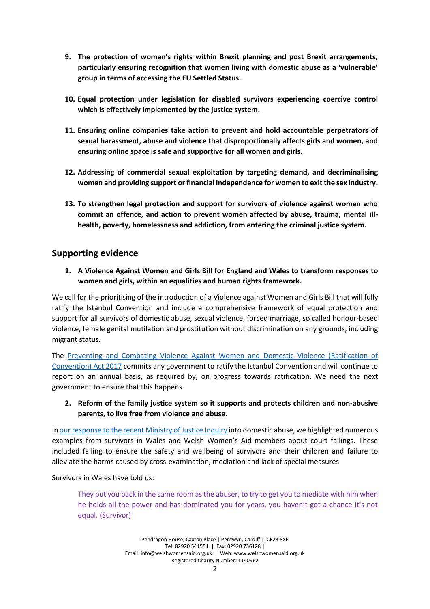- **9. The protection of women's rights within Brexit planning and post Brexit arrangements, particularly ensuring recognition that women living with domestic abuse as a 'vulnerable' group in terms of accessing the EU Settled Status.**
- **10. Equal protection under legislation for disabled survivors experiencing coercive control which is effectively implemented by the justice system.**
- **11. Ensuring online companies take action to prevent and hold accountable perpetrators of sexual harassment, abuse and violence that disproportionally affects girls and women, and ensuring online space is safe and supportive for all women and girls.**
- **12. Addressing of commercial sexual exploitation by targeting demand, and decriminalising women and providing support or financial independence for women to exit the sex industry.**
- **13. To strengthen legal protection and support for survivors of violence against women who commit an offence, and action to prevent women affected by abuse, trauma, mental illhealth, poverty, homelessness and addiction, from entering the criminal justice system.**

# **Supporting evidence**

**1. A Violence Against Women and Girls Bill for England and Wales to transform responses to women and girls, within an equalities and human rights framework.**

We call for the prioritising of the introduction of a Violence against Women and Girls Bill that will fully ratify the Istanbul Convention and include a comprehensive framework of equal protection and support for all survivors of domestic abuse, sexual violence, forced marriage, so called honour-based violence, female genital mutilation and prostitution without discrimination on any grounds, including migrant status.

The [Preventing and Combating Violence Against Women and Domestic Violence \(Ratification of](http://www.legislation.gov.uk/ukpga/2017/18/contents/enacted/data.htm)  [Convention\) Act 2017](http://www.legislation.gov.uk/ukpga/2017/18/contents/enacted/data.htm) commits any government to ratify the Istanbul Convention and will continue to report on an annual basis, as required by, on progress towards ratification. We need the next government to ensure that this happens.

**2. Reform of the family justice system so it supports and protects children and non-abusive parents, to live free from violence and abuse.**

I[n our response to the recent Ministry of Justice Inquiry](https://www.welshwomensaid.org.uk/wp-content/uploads/2019/09/WWA-response-to-MOJ-inquiry-into-family-courts.pdf) into domestic abuse, we highlighted numerous examples from survivors in Wales and Welsh Women's Aid members about court failings. These included failing to ensure the safety and wellbeing of survivors and their children and failure to alleviate the harms caused by cross-examination, mediation and lack of special measures.

#### Survivors in Wales have told us:

They put you back in the same room as the abuser, to try to get you to mediate with him when he holds all the power and has dominated you for years, you haven't got a chance it's not equal. (Survivor)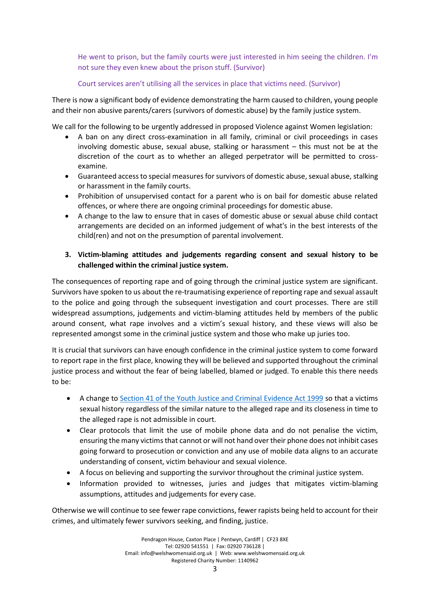He went to prison, but the family courts were just interested in him seeing the children. I'm not sure they even knew about the prison stuff. (Survivor)

#### Court services aren't utilising all the services in place that victims need. (Survivor)

There is now a significant body of evidence demonstrating the harm caused to children, young people and their non abusive parents/carers (survivors of domestic abuse) by the family justice system.

We call for the following to be urgently addressed in proposed Violence against Women legislation:

- A ban on any direct cross-examination in all family, criminal or civil proceedings in cases involving domestic abuse, sexual abuse, stalking or harassment – this must not be at the discretion of the court as to whether an alleged perpetrator will be permitted to crossexamine.
- Guaranteed access to special measures for survivors of domestic abuse, sexual abuse, stalking or harassment in the family courts.
- Prohibition of unsupervised contact for a parent who is on bail for domestic abuse related offences, or where there are ongoing criminal proceedings for domestic abuse.
- A change to the law to ensure that in cases of domestic abuse or sexual abuse child contact arrangements are decided on an informed judgement of what's in the best interests of the child(ren) and not on the presumption of parental involvement.

# **3. Victim-blaming attitudes and judgements regarding consent and sexual history to be challenged within the criminal justice system.**

The consequences of reporting rape and of going through the criminal justice system are significant. Survivors have spoken to us about the re-traumatising experience of reporting rape and sexual assault to the police and going through the subsequent investigation and court processes. There are still widespread assumptions, judgements and victim-blaming attitudes held by members of the public around consent, what rape involves and a victim's sexual history, and these views will also be represented amongst some in the criminal justice system and those who make up juries too.

It is crucial that survivors can have enough confidence in the criminal justice system to come forward to report rape in the first place, knowing they will be believed and supported throughout the criminal justice process and without the fear of being labelled, blamed or judged. To enable this there needs to be:

- A change to [Section 41 of the Youth Justice and Criminal Evidence Act 1999](http://www.cps.gov.uk/legal/p_to_r/rape_and_sexual_offences/yjcea_1999/) so that a victims sexual history regardless of the similar nature to the alleged rape and its closeness in time to the alleged rape is not admissible in court.
- Clear protocols that limit the use of mobile phone data and do not penalise the victim, ensuring the many victims that cannot or will not hand over their phone does not inhibit cases going forward to prosecution or conviction and any use of mobile data aligns to an accurate understanding of consent, victim behaviour and sexual violence.
- A focus on believing and supporting the survivor throughout the criminal justice system.
- Information provided to witnesses, juries and judges that mitigates victim-blaming assumptions, attitudes and judgements for every case.

Otherwise we will continue to see fewer rape convictions, fewer rapists being held to account for their crimes, and ultimately fewer survivors seeking, and finding, justice.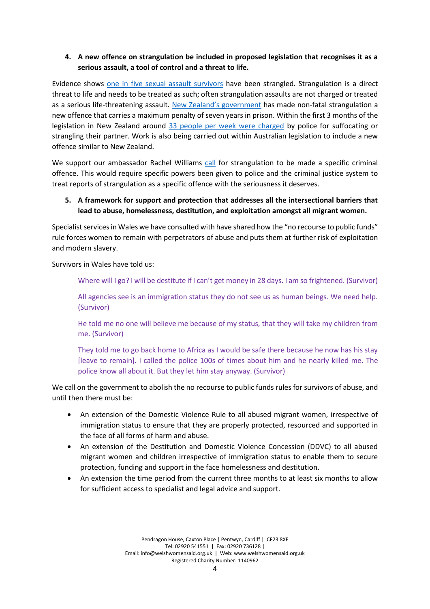#### **4. A new offence on strangulation be included in proposed legislation that recognises it as a serious assault, a tool of control and a threat to life.**

Evidence shows [one in five sexual assault survivors](https://www.researchgate.net/publication/324797868_Non-fatal_strangulation_amongst_clients_attending_Saint_Mary) have been strangled. Strangulation is a direct threat to life and needs to be treated as such; often strangulation assaults are not charged or treated as a serious life-threatening assault. [New Zealand's government](https://www.justice.govt.nz/justice-sector-policy/key-initiatives/reducing-family-and-sexual-violence/a-new-family-violence-act/) has made non-fatal strangulation a new offence that carries a maximum penalty of seven years in prison. Within the first 3 months of the legislation in New Zealand around [33 people per week were charged](https://www.lawcom.govt.nz/news/new-strangulation-offence) by police for suffocating or strangling their partner. Work is also being carried out within Australian legislation to include a new offence similar to New Zealand.

We support our ambassador Rachel Williams [call](https://www.change.org/p/theresa-may-mp-uk-home-office-make-non-fatal-strangulation-a-specific-criminal-offence-406ccb1d-2457-4440-a6e2-6010baeeaf14?recruiter=103630310&utm_source=share_petition&utm_medium=twitter&utm_campaign=psf_combo_share_abi.pacific_post_sap_share_gmail_abi.gmail_abi&utm_term=497730&recruited_by_id=f525c84d-7d05-4095-9b1a-0e82e2f8614e) for strangulation to be made a specific criminal offence. This would require specific powers been given to police and the criminal justice system to treat reports of strangulation as a specific offence with the seriousness it deserves.

#### **5. A framework for support and protection that addresses all the intersectional barriers that lead to abuse, homelessness, destitution, and exploitation amongst all migrant women.**

Specialist services in Wales we have consulted with have shared how the "no recourse to public funds" rule forces women to remain with perpetrators of abuse and puts them at further risk of exploitation and modern slavery.

Survivors in Wales have told us:

Where will I go? I will be destitute if I can't get money in 28 days. I am so frightened. (Survivor)

All agencies see is an immigration status they do not see us as human beings. We need help. (Survivor)

He told me no one will believe me because of my status, that they will take my children from me. (Survivor)

They told me to go back home to Africa as I would be safe there because he now has his stay [leave to remain]. I called the police 100s of times about him and he nearly killed me. The police know all about it. But they let him stay anyway. (Survivor)

We call on the government to abolish the no recourse to public funds rules for survivors of abuse, and until then there must be:

- An extension of the Domestic Violence Rule to all abused migrant women, irrespective of immigration status to ensure that they are properly protected, resourced and supported in the face of all forms of harm and abuse.
- An extension of the Destitution and Domestic Violence Concession (DDVC) to all abused migrant women and children irrespective of immigration status to enable them to secure protection, funding and support in the face homelessness and destitution.
- An extension the time period from the current three months to at least six months to allow for sufficient access to specialist and legal advice and support.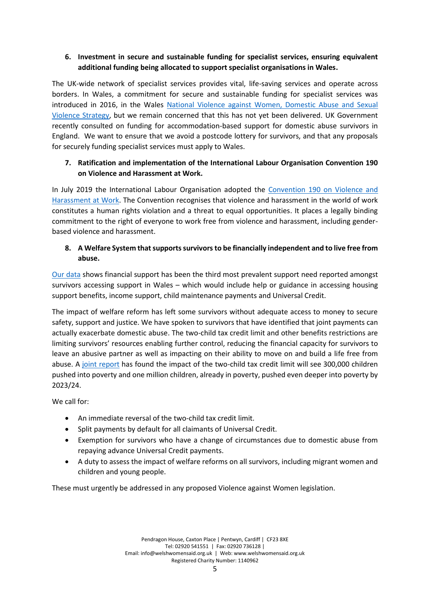### **6. Investment in secure and sustainable funding for specialist services, ensuring equivalent additional funding being allocated to support specialist organisations in Wales.**

The UK-wide network of specialist services provides vital, life-saving services and operate across borders. In Wales, a commitment for secure and sustainable funding for specialist services was introduced in 2016, in the Wales [National Violence against Women, Domestic Abuse and Sexual](https://gov.wales/sites/default/files/consultations/2018-01/161101-violence-strategy-responses-en.pdf)  [Violence Strategy,](https://gov.wales/sites/default/files/consultations/2018-01/161101-violence-strategy-responses-en.pdf) but we remain concerned that this has not yet been delivered. UK Government recently consulted on funding for accommodation-based support for domestic abuse survivors in England. We want to ensure that we avoid a postcode lottery for survivors, and that any proposals for securely funding specialist services must apply to Wales.

# **7. Ratification and implementation of the International Labour Organisation Convention 190 on Violence and Harassment at Work.**

In July 2019 the International Labour Organisation adopted the Convention 190 on Violence and [Harassment at Work.](https://www.ilo.org/dyn/normlex/en/f?p=NORMLEXPUB:12100:0::NO::P12100_ILO_CODE:C190) The Convention recognises that violence and harassment in the world of work constitutes a human rights violation and a threat to equal opportunities. It places a legally binding commitment to the right of everyone to work free from violence and harassment, including genderbased violence and harassment.

# **8. A Welfare System that supports survivors to be financially independent and to live free from abuse.**

[Our data](https://www.welshwomensaid.org.uk/wp-content/uploads/2019/02/Annual-Membership-Report-2017-18.pdf) shows financial support has been the third most prevalent support need reported amongst survivors accessing support in Wales – which would include help or guidance in accessing housing support benefits, income support, child maintenance payments and Universal Credit.

The impact of welfare reform has left some survivors without adequate access to money to secure safety, support and justice. We have spoken to survivors that have identified that joint payments can actually exacerbate domestic abuse. The two-child tax credit limit and other benefits restrictions are limiting survivors' resources enabling further control, reducing the financial capacity for survivors to leave an abusive partner as well as impacting on their ability to move on and build a life free from abuse. A [joint report](https://cpag.org.uk/sites/default/files/files/All%20Kids%20Count%20report%20FINAL.pdf) has found the impact of the two-child tax credit limit will see 300,000 children pushed into poverty and one million children, already in poverty, pushed even deeper into poverty by 2023/24.

We call for:

- An immediate reversal of the two-child tax credit limit.
- Split payments by default for all claimants of Universal Credit.
- Exemption for survivors who have a change of circumstances due to domestic abuse from repaying advance Universal Credit payments.
- A duty to assess the impact of welfare reforms on all survivors, including migrant women and children and young people.

These must urgently be addressed in any proposed Violence against Women legislation.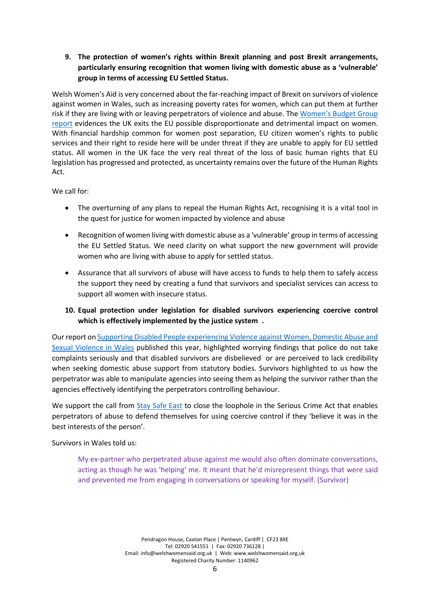**9. The protection of women's rights within Brexit planning and post Brexit arrangements, particularly ensuring recognition that women living with domestic abuse as a 'vulnerable' group in terms of accessing EU Settled Status.**

Welsh Women's Aid is very concerned about the far-reaching impact of Brexit on survivors of violence against women in Wales, such as increasing poverty rates for women, which can put them at further risk if they are living with or leaving perpetrators of violence and abuse. The Women's Budget Group [report](https://wbg.org.uk/wp-content/uploads/2018/03/Economic-Impact-of-Brexit-on-women-briefing-FINAL-1.pdf) evidences the UK exits the EU possible disproportionate and detrimental impact on women. With financial hardship common for women post separation, EU citizen women's rights to public services and their right to reside here will be under threat if they are unable to apply for EU settled status. All women in the UK face the very real threat of the loss of basic human rights that EU legislation has progressed and protected, as uncertainty remains over the future of the Human Rights Act.

We call for:

- The overturning of any plans to repeal the Human Rights Act, recognising it is a vital tool in the quest for justice for women impacted by violence and abuse
- Recognition of women living with domestic abuse as a 'vulnerable' group in terms of accessing the EU Settled Status. We need clarity on what support the new government will provide women who are living with abuse to apply for settled status.
- Assurance that all survivors of abuse will have access to funds to help them to safely access the support they need by creating a fund that survivors and specialist services can access to support all women with insecure status.

### **10. Equal protection under legislation for disabled survivors experiencing coercive control which is effectively implemented by the justice system .**

Our report o[n Supporting Disabled People experiencing Violence against Women, Domestic Abuse and](https://www.welshwomensaid.org.uk/wp-content/uploads/2019/04/WWA-and-Disability-Wales-2019-report-Final-ENG.pdf)  [Sexual Violence in Wales](https://www.welshwomensaid.org.uk/wp-content/uploads/2019/04/WWA-and-Disability-Wales-2019-report-Final-ENG.pdf) published this year, highlighted worrying findings that police do not take complaints seriously and that disabled survivors are disbelieved or are perceived to lack credibility when seeking domestic abuse support from statutory bodies. Survivors highlighted to us how the perpetrator was able to manipulate agencies into seeing them as helping the survivor rather than the agencies effectively identifying the perpetrators controlling behaviour.

We support the call from [Stay Safe East](http://data.parliament.uk/writtenevidence/committeeevidence.svc/evidencedocument/draft-domestic-abuse-bill-committee/draft-domestic-abuse-bill/written/102978.html) to close the loophole in the Serious Crime Act that enables perpetrators of abuse to defend themselves for using coercive control if they 'believe it was in the best interests of the person'.

Survivors in Wales told us:

My ex-partner who perpetrated abuse against me would also often dominate conversations, acting as though he was 'helping' me. It meant that he'd misrepresent things that were said and prevented me from engaging in conversations or speaking for myself. (Survivor)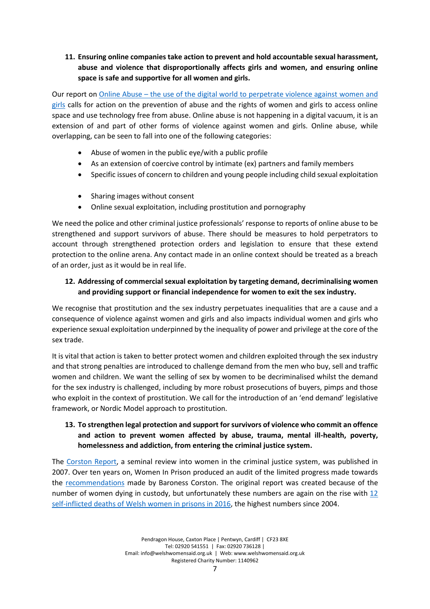# **11. Ensuring online companies take action to prevent and hold accountable sexual harassment, abuse and violence that disproportionally affects girls and women, and ensuring online space is safe and supportive for all women and girls.**

Our report on Online Abuse – [the use of the digital world to perpetrate violence against](https://www.welshwomensaid.org.uk/wp-content/uploads/2019/01/Online-Abuse-The-use-of-the-digital-world-to-perpetrate-VAWDASV.pdf) women and [girls](https://www.welshwomensaid.org.uk/wp-content/uploads/2019/01/Online-Abuse-The-use-of-the-digital-world-to-perpetrate-VAWDASV.pdf) calls for action on the prevention of abuse and the rights of women and girls to access online space and use technology free from abuse. Online abuse is not happening in a digital vacuum, it is an extension of and part of other forms of violence against women and girls. Online abuse, while overlapping, can be seen to fall into one of the following categories:

- Abuse of women in the public eye/with a public profile
- As an extension of coercive control by intimate (ex) partners and family members
- Specific issues of concern to children and young people including child sexual exploitation
- Sharing images without consent
- Online sexual exploitation, including prostitution and pornography

We need the police and other criminal justice professionals' response to reports of online abuse to be strengthened and support survivors of abuse. There should be measures to hold perpetrators to account through strengthened protection orders and legislation to ensure that these extend protection to the online arena. Any contact made in an online context should be treated as a breach of an order, just as it would be in real life.

# **12. Addressing of commercial sexual exploitation by targeting demand, decriminalising women and providing support or financial independence for women to exit the sex industry.**

We recognise that prostitution and the sex industry perpetuates inequalities that are a cause and a consequence of violence against women and girls and also impacts individual women and girls who experience sexual exploitation underpinned by the inequality of power and privilege at the core of the sex trade.

It is vital that action is taken to better protect women and children exploited through the sex industry and that strong penalties are introduced to challenge demand from the men who buy, sell and traffic women and children. We want the selling of sex by women to be decriminalised whilst the demand for the sex industry is challenged, including by more robust prosecutions of buyers, pimps and those who exploit in the context of prostitution. We call for the introduction of an 'end demand' legislative framework, or Nordic Model approach to prostitution.

# **13. To strengthen legal protection and support for survivors of violence who commit an offence and action to prevent women affected by abuse, trauma, mental ill-health, poverty, homelessness and addiction, from entering the criminal justice system.**

The [Corston Report,](http://webarchive.nationalarchives.gov.uk/20130206102659/http:/www.justice.gov.uk/publications/docs/corston-report-march-2007.pdf) a seminal review into women in the criminal justice system, was published in 2007. Over ten years on, Women In Prison produced an audit of the limited progress made towards the [recommendations](http://www.womeninprison.org.uk/research/reports.php?s=2017-03-07-corston-10) made by Baroness Corston. The original report was created because of the number of women dying in custody, but unfortunately these numbers are again on the rise with  $12$ [self-inflicted deaths of Welsh women in prisons in 2016,](http://sites.cardiff.ac.uk/wgc/files/2018/06/WGC-Report-Imprisonment-FinalPDF.pdf%20() the highest numbers since 2004.